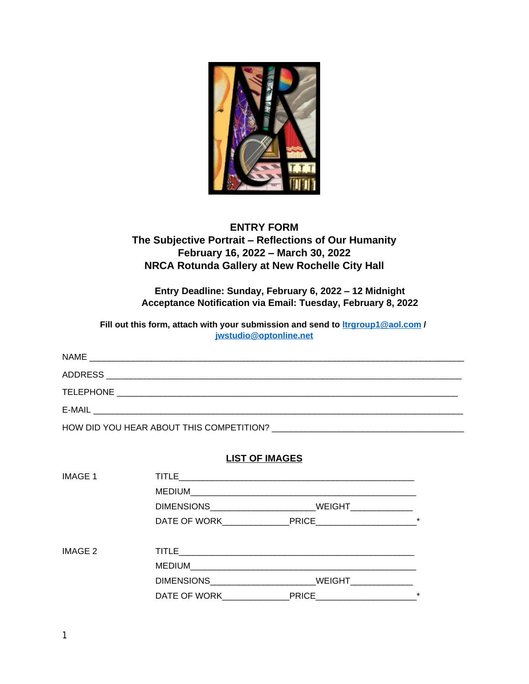

## **ENTRY FORM**

# **The Subjective Portrait – Reflections of Our Humanity February 16, 2022 – March 30, 2022 NRCA Rotunda Gallery at New Rochelle City Hall**

**Entry Deadline: Sunday, February 6, 2022 – 12 Midnight Acceptance Notification via Email: Tuesday, February 8, 2022**

**Fill out this form, attach with your submission and send to [ltrgroup1@aol.com](mailto:ltrgroup1@aol.com) / [jwstudio@optonline.net](mailto:jwstudio@optonline.net)**

| NAME<br><u> 1990 - Jan James James James James James James James James James James James James James James James James J</u> |
|------------------------------------------------------------------------------------------------------------------------------|
| <b>ADDRESS</b>                                                                                                               |
| <b>TELEPHONE</b>                                                                                                             |
| E-MAIL                                                                                                                       |

HOW DID YOU HEAR ABOUT THIS COMPETITION? \_\_\_\_\_\_\_\_\_\_\_\_\_\_\_\_\_\_\_\_\_\_\_\_\_\_\_\_\_\_\_\_\_\_\_\_\_\_\_\_

**LIST OF IMAGES**

| <b>IMAGE 1</b> | <b>TITLE</b>                   |                      |         |
|----------------|--------------------------------|----------------------|---------|
|                | MEDIUM                         |                      |         |
|                |                                | WEIGHT______________ |         |
|                |                                | DATE OF WORK PRICE   | $\star$ |
| IMAGE 2        |                                |                      |         |
|                |                                |                      |         |
|                | <b>DIMENSIONS Example 2018</b> | WEIGHT               |         |
|                | DATE OF WORK                   |                      | $\star$ |
|                |                                |                      |         |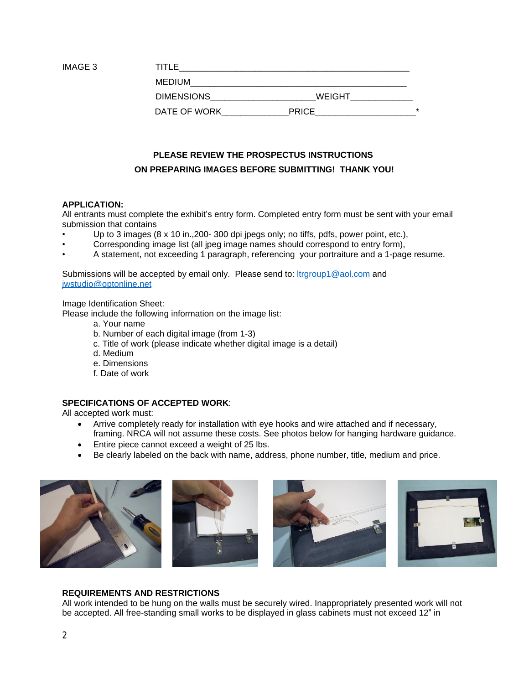| IMAGE 3 | TITI F            |              |         |
|---------|-------------------|--------------|---------|
|         | <b>MEDIUM</b>     |              |         |
|         | <b>DIMENSIONS</b> | WEIGHT       |         |
|         | DATE OF WORK      | <b>PRICE</b> | $\star$ |

# **PLEASE REVIEW THE PROSPECTUS INSTRUCTIONS ON PREPARING IMAGES BEFORE SUBMITTING! THANK YOU!**

#### **APPLICATION:**

All entrants must complete the exhibit's entry form. Completed entry form must be sent with your email submission that contains

- Up to 3 images  $(8 \times 10 \text{ in.}200 300 \text{ of}}$  jpegs only; no tiffs, pdfs, power point, etc.),
- Corresponding image list (all jpeg image names should correspond to entry form),
- A statement, not exceeding 1 paragraph, referencing your portraiture and a 1-page resume.

Submissions will be accepted by email only. Please send to: *[ltrgroup1@aol.com](mailto:ltrgroup1@aol.com)* and [jwstudio@optonline.net](mailto:jwstudio@optonline.net)

Image Identification Sheet:

Please include the following information on the image list:

- a. Your name
- b. Number of each digital image (from 1-3)
- c. Title of work (please indicate whether digital image is a detail)
- d. Medium
- e. Dimensions
- f. Date of work

### **SPECIFICATIONS OF ACCEPTED WORK**:

All accepted work must:

- Arrive completely ready for installation with eye hooks and wire attached and if necessary, framing. NRCA will not assume these costs. See photos below for hanging hardware guidance.
- Entire piece cannot exceed a weight of 25 lbs.
- Be clearly labeled on the back with name, address, phone number, title, medium and price.



#### **REQUIREMENTS AND RESTRICTIONS**

All work intended to be hung on the walls must be securely wired. Inappropriately presented work will not be accepted. All free-standing small works to be displayed in glass cabinets must not exceed 12" in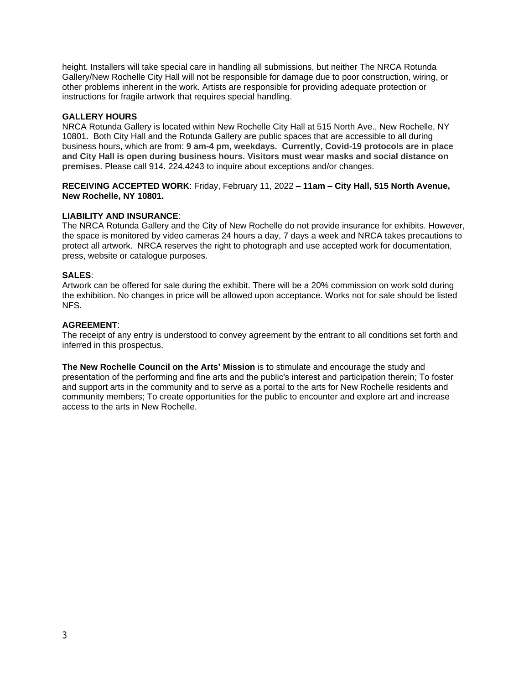height. Installers will take special care in handling all submissions, but neither The NRCA Rotunda Gallery/New Rochelle City Hall will not be responsible for damage due to poor construction, wiring, or other problems inherent in the work. Artists are responsible for providing adequate protection or instructions for fragile artwork that requires special handling.

#### **GALLERY HOURS**

NRCA Rotunda Gallery is located within New Rochelle City Hall at 515 North Ave., New Rochelle, NY 10801. Both City Hall and the Rotunda Gallery are public spaces that are accessible to all during business hours, which are from: **9 am-4 pm, weekdays. Currently, Covid-19 protocols are in place and City Hall is open during business hours. Visitors must wear masks and social distance on premises.** Please call 914. 224.4243 to inquire about exceptions and/or changes.

**RECEIVING ACCEPTED WORK**: Friday, February 11, 2022 **– 11am – City Hall, 515 North Avenue, New Rochelle, NY 10801.**

#### **LIABILITY AND INSURANCE**:

The NRCA Rotunda Gallery and the City of New Rochelle do not provide insurance for exhibits. However, the space is monitored by video cameras 24 hours a day, 7 days a week and NRCA takes precautions to protect all artwork. NRCA reserves the right to photograph and use accepted work for documentation, press, website or catalogue purposes.

#### **SALES**:

Artwork can be offered for sale during the exhibit. There will be a 20% commission on work sold during the exhibition. No changes in price will be allowed upon acceptance. Works not for sale should be listed NFS.

#### **AGREEMENT**:

The receipt of any entry is understood to convey agreement by the entrant to all conditions set forth and inferred in this prospectus.

**The New Rochelle Council on the Arts' Mission** is **t**o stimulate and encourage the study and presentation of the performing and fine arts and the public's interest and participation therein; To foster and support arts in the community and to serve as a portal to the arts for New Rochelle residents and community members; To create opportunities for the public to encounter and explore art and increase access to the arts in New Rochelle.